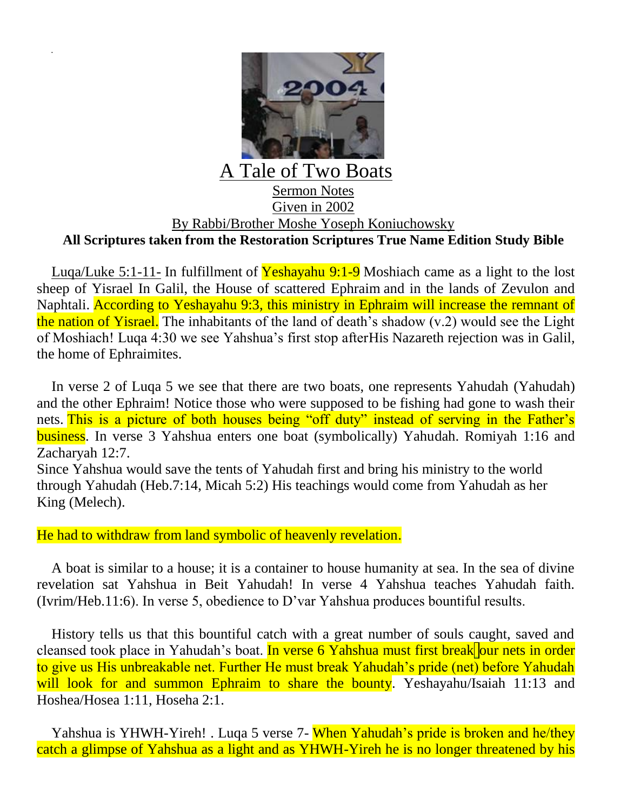

## Sermon Notes Given in 2002 By Rabbi/Brother Moshe Yoseph Koniuchowsky **All Scriptures taken from the Restoration Scriptures True Name Edition Study Bible**

Luqa/Luke 5:1-11- In fulfillment of Yeshayahu  $9:1-9$  Moshiach came as a light to the lost sheep of Yisrael In Galil, the House of scattered Ephraim and in the lands of Zevulon and Naphtali. According to Yeshayahu 9:3, this ministry in Ephraim will increase the remnant of the nation of Yisrael. The inhabitants of the land of death's shadow (v.2) would see the Light of Moshiach! Luqa 4:30 we see Yahshua's first stop afterHis Nazareth rejection was in Galil, the home of Ephraimites.

In verse 2 of Luqa 5 we see that there are two boats, one represents Yahudah (Yahudah) and the other Ephraim! Notice those who were supposed to be fishing had gone to wash their nets. This is a picture of both houses being "off duty" instead of serving in the Father's business. In verse 3 Yahshua enters one boat (symbolically) Yahudah. Romiyah 1:16 and Zacharyah 12:7. Since Yahshua would save the tents of Yahudah first and bring his ministry to the world through Yahudah (Heb.7:14, Micah 5:2) His teachings would come from Yahudah as her King (Melech).

He had to withdraw from land symbolic of heavenly revelation.

A boat is similar to a house; it is a container to house humanity at sea. In the sea of divine revelation sat Yahshua in Beit Yahudah! In verse 4 Yahshua teaches Yahudah faith. (Ivrim/Heb.11:6). In verse 5, obedience to D'var Yahshua produces bountiful results.

History tells us that this bountiful catch with a great number of souls caught, saved and cleansed took place in Yahudah's boat. In verse 6 Yahshua must first break our nets in order to give us His unbreakable net. Further He must break Yahudah's pride (net) before Yahudah will look for and summon Ephraim to share the bounty. Yeshayahu/Isaiah 11:13 and Hoshea/Hosea 1:11, Hoseha 2:1.

Yahshua is YHWH-Yireh! . Luqa 5 verse 7- When Yahudah's pride is broken and he/they catch a glimpse of Yahshua as a light and as YHWH-Yireh he is no longer threatened by his